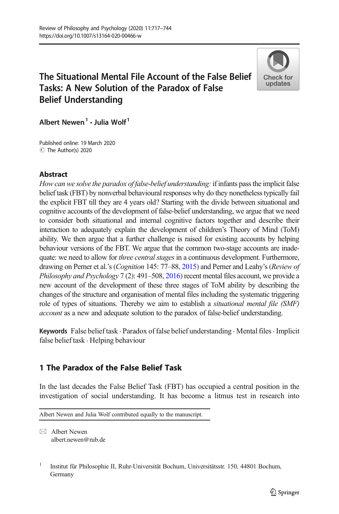# <span id="page-0-0"></span>The Situational Mental File Account of the False Belief Tasks: A New Solution of the Paradox of False Belief Understanding



Albert Newen<sup>1</sup> . Julia Wolf<sup>1</sup>

C The Author(s) 2020 Published online: 19 March 2020

## **Abstract**

How can we solve the paradox of false-belief understanding: if infants pass the implicit false belief task (FBT) by nonverbal behavioural responses why do they nonetheless typically fail the explicit FBT till they are 4 years old? Starting with the divide between situational and cognitive accounts of the development of false-belief understanding, we argue that we need to consider both situational and internal cognitive factors together and describe their interaction to adequately explain the development of children's Theory of Mind (ToM) ability. We then argue that a further challenge is raised for existing accounts by helping behaviour versions of the FBT. We argue that the common two-stage accounts are inadequate: we need to allow for *three central stages* in a continuous development. Furthermore, drawing on Perner et al.'s (*Cognition 145: 77–88, 2015*) and Perner and Leahy's (*Review of* Philosophy and Psychology 7 (2): 491–508, [2016\)](#page-25-0) recent mental files account, we provide a new account of the development of these three stages of ToM ability by describing the changes of the structure and organisation of mental files including the systematic triggering role of types of situations. Thereby we aim to establish a *situational mental file (SMF)* account as a new and adequate solution to the paradox of false-belief understanding.

Keywords False belief task  $\cdot$  Paradox of false belief understanding  $\cdot$  Mental files  $\cdot$  Implicit false belief task . Helping behaviour

## 1 The Paradox of the False Belief Task

In the last decades the False Belief Task (FBT) has occupied a central position in the investigation of social understanding. It has become a litmus test in research into

Albert Newen and Julia Wolf contributed equally to the manuscript.

 $\boxtimes$  Albert Newen [albert.newen@rub.de](mailto:albert.newen@rub.de)

<sup>1</sup> Institut für Philosophie II, Ruhr-Universität Bochum, Universitätsstr. 150, 44801 Bochum, Germany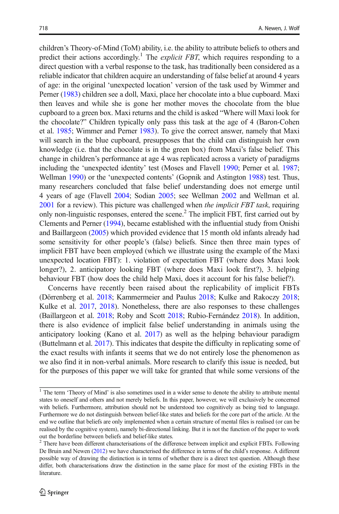children's Theory-of-Mind (ToM) ability, i.e. the ability to attribute beliefs to others and predict their actions accordingly.<sup>1</sup> The *explicit FBT*, which requires responding to a direct question with a verbal response to the task, has traditionally been considered as a reliable indicator that children acquire an understanding of false belief at around 4 years of age: in the original 'unexpected location' version of the task used by Wimmer and Perner ([1983](#page-27-0)) children see a doll, Maxi, place her chocolate into a blue cupboard. Maxi then leaves and while she is gone her mother moves the chocolate from the blue cupboard to a green box. Maxi returns and the child is asked "Where will Maxi look for the chocolate?" Children typically only pass this task at the age of 4 (Baron-Cohen et al. [1985;](#page-23-0) Wimmer and Perner [1983](#page-27-0)). To give the correct answer, namely that Maxi will search in the blue cupboard, presupposes that the child can distinguish her own knowledge (i.e. that the chocolate is in the green box) from Maxi's false belief. This change in children's performance at age 4 was replicated across a variety of paradigms including the 'unexpected identity' test (Moses and Flavell [1990](#page-25-0); Perner et al. [1987;](#page-26-0) Wellman [1990](#page-26-0)) or the 'unexpected contents' (Gopnik and Astington [1988\)](#page-24-0) test. Thus, many researchers concluded that false belief understanding does not emerge until 4 years of age (Flavell [2004;](#page-24-0) Sodian [2005](#page-26-0); see Wellman [2002](#page-26-0) and Wellman et al. [2001](#page-27-0) for a review). This picture was challenged when the *implicit FBT task*, requiring only non-linguistic responses, entered the scene.<sup>2</sup> The implicit FBT, first carried out by Clements and Perner [\(1994\)](#page-24-0), became established with the influential study from Onishi and Baillargeon [\(2005\)](#page-25-0) which provided evidence that 15 month old infants already had some sensitivity for other people's (false) beliefs. Since then three main types of implicit FBT have been employed (which we illustrate using the example of the Maxi unexpected location FBT): 1. violation of expectation FBT (where does Maxi look longer?), 2. anticipatory looking FBT (where does Maxi look first?), 3. helping behaviour FBT (how does the child help Maxi, does it account for his false belief?).

Concerns have recently been raised about the replicability of implicit FBTs (Dörrenberg et al. [2018](#page-24-0); Kammermeier and Paulus [2018](#page-25-0); Kulke and Rakoczy [2018;](#page-25-0) Kulke et al. [2017,](#page-25-0) [2018\)](#page-25-0). Nonetheless, there are also responses to these challenges (Baillargeon et al. [2018](#page-23-0); Roby and Scott [2018;](#page-26-0) Rubio-Fernández [2018\)](#page-26-0). In addition, there is also evidence of implicit false belief understanding in animals using the anticipatory looking (Kano et al. [2017](#page-25-0)) as well as the helping behaviour paradigm (Buttelmann et al. [2017](#page-24-0)). This indicates that despite the difficulty in replicating some of the exact results with infants it seems that we do not entirely lose the phenomenon as we also find it in non-verbal animals. More research to clarify this issue is needed, but for the purposes of this paper we will take for granted that while some versions of the

<sup>&</sup>lt;sup>1</sup> The term 'Theory of Mind' is also sometimes used in a wider sense to denote the ability to attribute mental states to oneself and others and not merely beliefs. In this paper, however, we will exclusively be concerned with beliefs. Furthermore, attribution should not be understood too cognitively as being tied to language. Furthermore we do not distinguish between belief-like states and beliefs for the core part of the article. At the end we outline that beliefs are only implemented when a certain structure of mental files is realised (or can be realised by the cognitive system), namely bi-directional linking. But it is not the function of the paper to work out the borderline between beliefs and belief-like states.

<sup>&</sup>lt;sup>2</sup> There have been different characterisations of the difference between implicit and explicit FBTs. Following De Bruin and Newen [\(2012\)](#page-24-0) we have characterised the difference in terms of the child's response. A different possible way of drawing the distinction is in terms of whether there is a direct test question. Although these differ, both characterisations draw the distinction in the same place for most of the existing FBTs in the literature.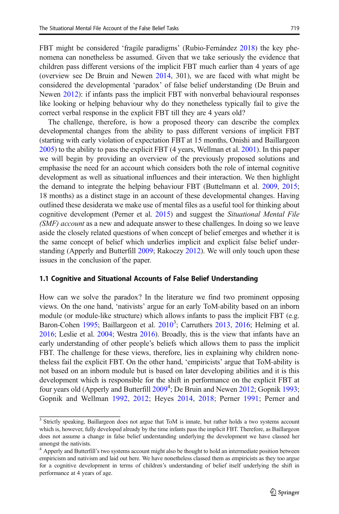FBT might be considered 'fragile paradigms' (Rubio-Fernández [2018\)](#page-26-0) the key phenomena can nonetheless be assumed. Given that we take seriously the evidence that children pass different versions of the implicit FBT much earlier than 4 years of age (overview see De Bruin and Newen [2014](#page-24-0), 301), we are faced with what might be considered the developmental 'paradox' of false belief understanding (De Bruin and Newen [2012\)](#page-24-0): if infants pass the implicit FBT with nonverbal behavioural responses like looking or helping behaviour why do they nonetheless typically fail to give the correct verbal response in the explicit FBT till they are 4 years old?

The challenge, therefore, is how a proposed theory can describe the complex developmental changes from the ability to pass different versions of implicit FBT (starting with early violation of expectation FBT at 15 months, Onishi and Baillargeon [2005\)](#page-25-0) to the ability to pass the explicit FBT (4 years, Wellman et al. [2001\)](#page-27-0). In this paper we will begin by providing an overview of the previously proposed solutions and emphasise the need for an account which considers both the role of internal cognitive development as well as situational influences and their interaction. We then highlight the demand to integrate the helping behaviour FBT (Buttelmann et al. [2009,](#page-24-0) [2015;](#page-24-0) 18 months) as a distinct stage in an account of these developmental changes. Having outlined these desiderata we make use of mental files as a useful tool for thinking about cognitive development (Perner et al. [2015\)](#page-26-0) and suggest the Situational Mental File (SMF) account as a new and adequate answer to these challenges. In doing so we leave aside the closely related questions of when concept of belief emerges and whether it is the same concept of belief which underlies implicit and explicit false belief understanding (Apperly and Butterfill [2009](#page-23-0); Rakoczy [2012](#page-26-0)). We will only touch upon these issues in the conclusion of the paper.

#### 1.1 Cognitive and Situational Accounts of False Belief Understanding

How can we solve the paradox? In the literature we find two prominent opposing views. On the one hand, 'nativists' argue for an early ToM-ability based on an inborn module (or module-like structure) which allows infants to pass the implicit FBT (e.g. Baron-Cohen [1995;](#page-23-0) Baillargeon et al. 2010<sup>3</sup>; Carruthers [2013,](#page-24-0) [2016](#page-24-0); Helming et al. [2016;](#page-24-0) Leslie et al. [2004;](#page-25-0) Westra [2016\)](#page-27-0). Broadly, this is the view that infants have an early understanding of other people's beliefs which allows them to pass the implicit FBT. The challenge for these views, therefore, lies in explaining why children nonetheless fail the explicit FBT. On the other hand, 'empiricists' argue that ToM-ability is not based on an inborn module but is based on later developing abilities and it is this development which is responsible for the shift in performance on the explicit FBT at four years old (Apperly and Butterfill [2009](#page-23-0)<sup>4</sup>; De Bruin and Newen [2012;](#page-24-0) Gopnik [1993;](#page-24-0) Gopnik and Wellman [1992,](#page-24-0) [2012;](#page-24-0) Heyes [2014](#page-25-0), [2018;](#page-25-0) Perner [1991;](#page-25-0) Perner and

 $\frac{3}{3}$  Strictly speaking, Baillargeon does not argue that ToM is innate, but rather holds a two systems account which is, however, fully developed already by the time infants pass the implicit FBT. Therefore, as Baillargeon does not assume a change in false belief understanding underlying the development we have classed her amongst the nativists.

<sup>4</sup> Apperly and Butterfill's two systems account might also be thought to hold an intermediate position between empiricism and nativism and laid out here. We have nonetheless classed them as empiricists as they too argue for a cognitive development in terms of children's understanding of belief itself underlying the shift in performance at 4 years of age.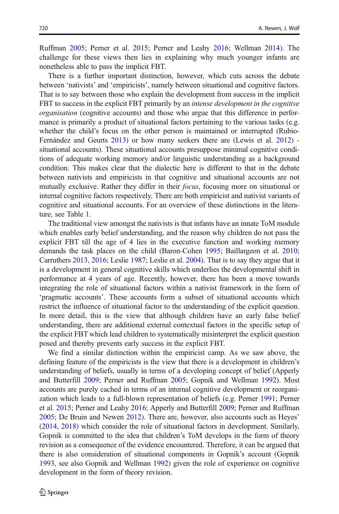Ruffman [2005;](#page-25-0) Perner et al. [2015](#page-26-0); Perner and Leahy [2016](#page-25-0); Wellman [2014\)](#page-26-0). The challenge for these views then lies in explaining why much younger infants are nonetheless able to pass the implicit FBT.

There is a further important distinction, however, which cuts across the debate between 'nativists' and 'empiricists', namely between situational and cognitive factors. That is to say between those who explain the development from success in the implicit FBT to success in the explicit FBT primarily by an *intense development in the cognitive* organisation (cognitive accounts) and those who argue that this difference in performance is primarily a product of situational factors pertaining to the various tasks (e.g. whether the child's focus on the other person is maintained or interrupted (Rubio-Fernández and Geurts [2013\)](#page-26-0) or how many seekers there are (Lewis et al. [2012\)](#page-25-0) situational accounts). These situational accounts presuppose minimal cognitive conditions of adequate working memory and/or linguistic understanding as a background condition. This makes clear that the dialectic here is different to that in the debate between nativists and empiricists in that cognitive and situational accounts are not mutually exclusive. Rather they differ in their *focus*, focusing more on situational or internal cognitive factors respectively. There are both empiricist and nativist variants of cognitive and situational accounts. For an overview of these distinctions in the literature, see Table [1.](#page-4-0)

The traditional view amongst the nativists is that infants have an innate ToM module which enables early belief understanding, and the reason why children do not pass the explicit FBT till the age of 4 lies in the executive function and working memory demands the task places on the child (Baron-Cohen [1995;](#page-23-0) Baillargeon et al. [2010;](#page-23-0) Carruthers [2013,](#page-24-0) [2016](#page-24-0); Leslie [1987;](#page-25-0) Leslie et al. [2004\)](#page-25-0). That is to say they argue that it is a development in general cognitive skills which underlies the developmental shift in performance at 4 years of age. Recently, however, there has been a move towards integrating the role of situational factors within a nativist framework in the form of 'pragmatic accounts'. These accounts form a subset of situational accounts which restrict the influence of situational factor to the understanding of the explicit question. In more detail, this is the view that although children have an early false belief understanding, there are additional external contextual factors in the specific setup of the explicit FBT which lead children to systematically misinterpret the explicit question posed and thereby prevents early success in the explicit FBT.

We find a similar distinction within the empiricist camp. As we saw above, the defining feature of the empiricists is the view that there is a development in children's understanding of beliefs, usually in terms of a developing concept of belief (Apperly and Butterfill [2009](#page-23-0); Perner and Ruffman [2005](#page-25-0); Gopnik and Wellman [1992](#page-24-0)). Most accounts are purely cached in terms of an internal cognitive development or reorganization which leads to a full-blown representation of beliefs (e.g. Perner [1991](#page-25-0); Perner et al. [2015](#page-26-0); Perner and Leahy [2016](#page-25-0); Apperly and Butterfill [2009;](#page-23-0) Perner and Ruffman [2005;](#page-25-0) De Bruin and Newen [2012](#page-24-0)). There are, however, also accounts such as Heyes' [\(2014,](#page-25-0) [2018\)](#page-25-0) which consider the role of situational factors in development. Similarly, Gopnik is committed to the idea that children's ToM develops in the form of theory revision as a consequence of the evidence encountered. Therefore, it can be argued that there is also consideration of situational components in Gopnik's account (Gopnik [1993,](#page-24-0) see also Gopnik and Wellman [1992](#page-24-0)) given the role of experience on cognitive development in the form of theory revision.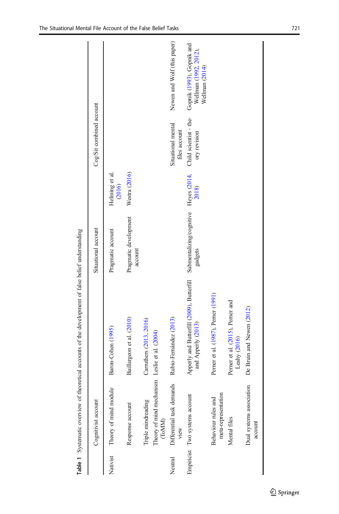<span id="page-4-0"></span>

|          |                                                         | Table 1 Systematic overview of theoretical accounts of the development of false belief understanding |                                                  |                          |                                        |                                                                      |
|----------|---------------------------------------------------------|------------------------------------------------------------------------------------------------------|--------------------------------------------------|--------------------------|----------------------------------------|----------------------------------------------------------------------|
|          | Cognitivist account                                     |                                                                                                      | Situational account                              |                          | Cog/Sit combined account               |                                                                      |
| Nativist | Theory of mind module                                   | Baron-Cohen (1995)                                                                                   | Pragmatic account                                | Helming et al.<br>(2016) |                                        |                                                                      |
|          | Response account                                        | Baillargeon et al. (2010)                                                                            | Pragmatic development<br>account                 | Westra (2016)            |                                        |                                                                      |
|          | Triple mindreading                                      | Carruthers (2013, 2016)                                                                              |                                                  |                          |                                        |                                                                      |
|          | Theory of mind mechanism Leslie et al. (2004)<br>(ToMM) |                                                                                                      |                                                  |                          |                                        |                                                                      |
| Neutral  | Differential task demands<br>view                       | Rubio-Fernández (2013)                                                                               |                                                  |                          | Situational mental<br>files account    | Newen and Wolf (this paper)                                          |
|          | Empiricist Two systems account                          | Apperly and Butterfill (2009), Butterfill<br>and Apperly (2013)                                      | Submentalizing/cognitive Heyes (2014,<br>gadgets | 2018)                    | Child scientist - the-<br>ory revision | Gopnik (1993), Gopnik and<br>Wellman (1992, 2012),<br>Wellman (2014) |
|          | meta-representation<br>Behaviour rules and              | Perner et al. (1987), Perner (1991)                                                                  |                                                  |                          |                                        |                                                                      |
|          | Mental files                                            | Perner et al. (2015), Perner and<br>Leahy $(2016)$                                                   |                                                  |                          |                                        |                                                                      |
|          | Dual systems association<br>account                     | De Bruin and Newen (2012)                                                                            |                                                  |                          |                                        |                                                                      |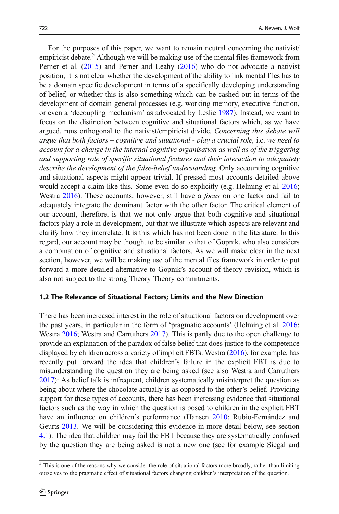For the purposes of this paper, we want to remain neutral concerning the nativist/ empiricist debate.<sup>5</sup> Although we will be making use of the mental files framework from Perner et al. [\(2015](#page-26-0)) and Perner and Leahy ([2016](#page-25-0)) who do not advocate a nativist position, it is not clear whether the development of the ability to link mental files has to be a domain specific development in terms of a specifically developing understanding of belief, or whether this is also something which can be cashed out in terms of the development of domain general processes (e.g. working memory, executive function, or even a 'decoupling mechanism' as advocated by Leslie [1987\)](#page-25-0). Instead, we want to focus on the distinction between cognitive and situational factors which, as we have argued, runs orthogonal to the nativist/empiricist divide. Concerning this debate will argue that both factors – cognitive and situational - play a crucial role, i.e. we need to account for a change in the internal cognitive organisation as well as of the triggering and supporting role of specific situational features and their interaction to adequately describe the development of the false-belief understanding. Only accounting cognitive and situational aspects might appear trivial. If pressed most accounts detailed above would accept a claim like this. Some even do so explicitly (e.g. Helming et al. [2016;](#page-24-0) Westra [2016\)](#page-27-0). These accounts, however, still have a *focus* on one factor and fail to adequately integrate the dominant factor with the other factor. The critical element of our account, therefore, is that we not only argue that both cognitive and situational factors play a role in development, but that we illustrate which aspects are relevant and clarify how they interrelate. It is this which has not been done in the literature. In this regard, our account may be thought to be similar to that of Gopnik, who also considers a combination of cognitive and situational factors. As we will make clear in the next section, however, we will be making use of the mental files framework in order to put forward a more detailed alternative to Gopnik's account of theory revision, which is also not subject to the strong Theory Theory commitments.

## 1.2 The Relevance of Situational Factors; Limits and the New Direction

There has been increased interest in the role of situational factors on development over the past years, in particular in the form of 'pragmatic accounts' (Helming et al. [2016;](#page-24-0) Westra [2016;](#page-27-0) Westra and Carruthers [2017\)](#page-27-0). This is partly due to the open challenge to provide an explanation of the paradox of false belief that does justice to the competence displayed by children across a variety of implicit FBTs. Westra [\(2016\)](#page-27-0), for example, has recently put forward the idea that children's failure in the explicit FBT is due to misunderstanding the question they are being asked (see also Westra and Carruthers [2017\)](#page-27-0): As belief talk is infrequent, children systematically misinterpret the question as being about where the chocolate actually is as opposed to the other's belief. Providing support for these types of accounts, there has been increasing evidence that situational factors such as the way in which the question is posed to children in the explicit FBT have an influence on children's performance (Hansen [2010;](#page-24-0) Rubio-Fernández and Geurts [2013.](#page-26-0) We will be considering this evidence in more detail below, see section [4.1](#page-15-0)). The idea that children may fail the FBT because they are systematically confused by the question they are being asked is not a new one (see for example Siegal and

<sup>&</sup>lt;sup>5</sup> This is one of the reasons why we consider the role of situational factors more broadly, rather than limiting ourselves to the pragmatic effect of situational factors changing children's interpretation of the question.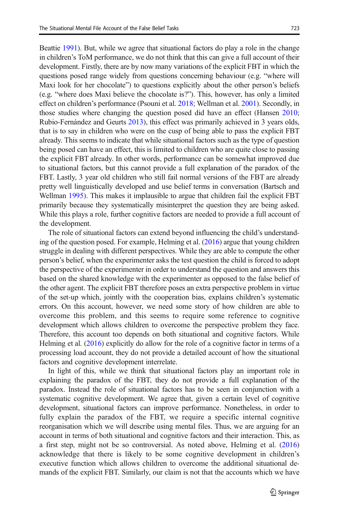Beattie [1991\)](#page-26-0). But, while we agree that situational factors do play a role in the change in children's ToM performance, we do not think that this can give a full account of their development. Firstly, there are by now many variations of the explicit FBT in which the questions posed range widely from questions concerning behaviour (e.g. "where will Maxi look for her chocolate") to questions explicitly about the other person's beliefs (e.g. "where does Maxi believe the chocolate is?"). This, however, has only a limited effect on children's performance (Psouni et al. [2018](#page-26-0); Wellman et al. [2001\)](#page-27-0). Secondly, in those studies where changing the question posed did have an effect (Hansen [2010;](#page-24-0) Rubio-Fernández and Geurts [2013\)](#page-26-0), this effect was primarily achieved in 3 years olds, that is to say in children who were on the cusp of being able to pass the explicit FBT already. This seems to indicate that while situational factors such as the type of question being posed can have an effect, this is limited to children who are quite close to passing the explicit FBT already. In other words, performance can be somewhat improved due to situational factors, but this cannot provide a full explanation of the paradox of the FBT. Lastly, 3 year old children who still fail normal versions of the FBT are already pretty well linguistically developed and use belief terms in conversation (Bartsch and Wellman [1995](#page-23-0)). This makes it implausible to argue that children fail the explicit FBT primarily because they systematically misinterpret the question they are being asked. While this plays a role, further cognitive factors are needed to provide a full account of the development.

The role of situational factors can extend beyond influencing the child's understanding of the question posed. For example, Helming et al. [\(2016\)](#page-24-0) argue that young children struggle in dealing with different perspectives. While they are able to compute the other person's belief, when the experimenter asks the test question the child is forced to adopt the perspective of the experimenter in order to understand the question and answers this based on the shared knowledge with the experimenter as opposed to the false belief of the other agent. The explicit FBT therefore poses an extra perspective problem in virtue of the set-up which, jointly with the cooperation bias, explains children's systematic errors. On this account, however, we need some story of how children are able to overcome this problem, and this seems to require some reference to cognitive development which allows children to overcome the perspective problem they face. Therefore, this account too depends on both situational and cognitive factors. While Helming et al. [\(2016\)](#page-24-0) explicitly do allow for the role of a cognitive factor in terms of a processing load account, they do not provide a detailed account of how the situational factors and cognitive development interrelate.

In light of this, while we think that situational factors play an important role in explaining the paradox of the FBT, they do not provide a full explanation of the paradox. Instead the role of situational factors has to be seen in conjunction with a systematic cognitive development. We agree that, given a certain level of cognitive development, situational factors can improve performance. Nonetheless, in order to fully explain the paradox of the FBT, we require a specific internal cognitive reorganisation which we will describe using mental files. Thus, we are arguing for an account in terms of both situational and cognitive factors and their interaction. This, as a first step, might not be so controversial. As noted above, Helming et al. ([2016](#page-24-0)) acknowledge that there is likely to be some cognitive development in children's executive function which allows children to overcome the additional situational demands of the explicit FBT. Similarly, our claim is not that the accounts which we have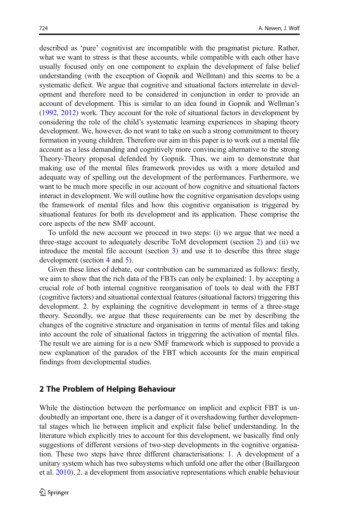described as 'pure' cognitivist are incompatible with the pragmatist picture. Rather, what we want to stress is that these accounts, while compatible with each other have usually focused only on one component to explain the development of false belief understanding (with the exception of Gopnik and Wellman) and this seems to be a systematic deficit. We argue that cognitive and situational factors interrelate in development and therefore need to be considered in conjunction in order to provide an account of development. This is similar to an idea found in Gopnik and Wellman's [\(1992,](#page-24-0) [2012\)](#page-24-0) work. They account for the role of situational factors in development by considering the role of the child's systematic learning experiences in shaping theory development. We, however, do not want to take on such a strong commitment to theory formation in young children. Therefore our aim in this paper is to work out a mental file account as a less demanding and cognitively more convincing alternative to the strong Theory-Theory proposal defended by Gopnik. Thus, we aim to demonstrate that making use of the mental files framework provides us with a more detailed and adequate way of spelling out the development of the performances. Furthermore, we want to be much more specific in our account of how cognitive and situational factors interact in development. We will outline how the cognitive organisation develops using the framework of mental files and how this cognitive organisation is triggered by situational features for both its development and its application. These comprise the core aspects of the new SMF account.

To unfold the new account we proceed in two steps: (i) we argue that we need a three-stage account to adequately describe ToM development (section 2) and (ii) we introduce the mental file account (section [3\)](#page-12-0) and use it to describe this three stage development (section [4](#page-14-0) and [5](#page-18-0)).

Given these lines of debate, our contribution can be summarized as follows: firstly, we aim to show that the rich data of the FBTs can only be explained: 1. by accepting a crucial role of both internal cognitive reorganisation of tools to deal with the FBT (cognitive factors) and situational contextual features (situational factors) triggering this development. 2. by explaining the cognitive development in terms of a three-stage theory. Secondly, we argue that these requirements can be met by describing the changes of the cognitive structure and organisation in terms of mental files and taking into account the role of situational factors in triggering the activation of mental files. The result we are aiming for is a new SMF framework which is supposed to provide a new explanation of the paradox of the FBT which accounts for the main empirical findings from developmental studies.

## 2 The Problem of Helping Behaviour

While the distinction between the performance on implicit and explicit FBT is undoubtedly an important one, there is a danger of it overshadowing further developmental stages which lie between implicit and explicit false belief understanding. In the literature which explicitly tries to account for this development, we basically find only suggestions of different versions of two-step developments in the cognitive organisation. These two steps have three different characterisations: 1. A development of a unitary system which has two subsystems which unfold one after the other (Baillargeon et al. [2010\)](#page-23-0), 2. a development from associative representations which enable behaviour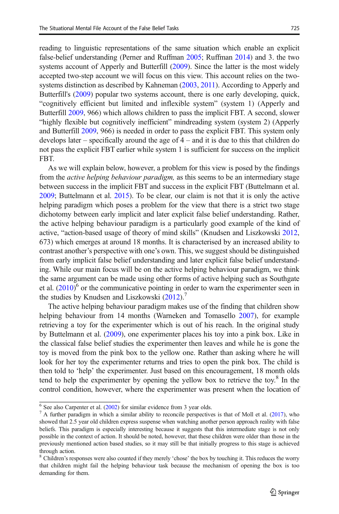reading to linguistic representations of the same situation which enable an explicit false-belief understanding (Perner and Ruffman [2005](#page-25-0); Ruffman [2014](#page-26-0)) and 3. the two systems account of Apperly and Butterfill ([2009](#page-23-0)). Since the latter is the most widely accepted two-step account we will focus on this view. This account relies on the twosystems distinction as described by Kahneman ([2003,](#page-25-0) [2011](#page-25-0)). According to Apperly and Butterfill's ([2009](#page-23-0)) popular two systems account, there is one early developing, quick, "cognitively efficient but limited and inflexible system" (system 1) (Apperly and Butterfill [2009](#page-23-0), 966) which allows children to pass the implicit FBT. A second, slower "highly flexible but cognitively inefficient" mindreading system (system 2) (Apperly and Butterfill [2009](#page-23-0), 966) is needed in order to pass the explicit FBT. This system only develops later – specifically around the age of  $4$  – and it is due to this that children do not pass the explicit FBT earlier while system 1 is sufficient for success on the implicit FBT.

As we will explain below, however, a problem for this view is posed by the findings from the active helping behaviour paradigm, as this seems to be an intermediary stage between success in the implicit FBT and success in the explicit FBT (Buttelmann et al. [2009;](#page-24-0) Buttelmann et al. [2015\)](#page-24-0). To be clear, our claim is not that it is only the active helping paradigm which poses a problem for the view that there is a strict two stage dichotomy between early implicit and later explicit false belief understanding. Rather, the active helping behaviour paradigm is a particularly good example of the kind of active, "action-based usage of theory of mind skills" (Knudsen and Liszkowski [2012,](#page-25-0) 673) which emerges at around 18 months. It is characterised by an increased ability to contrast another's perspective with one's own. This, we suggest should be distinguished from early implicit false belief understanding and later explicit false belief understanding. While our main focus will be on the active helping behaviour paradigm, we think the same argument can be made using other forms of active helping such as Southgate et al.  $(2010)^6$  $(2010)^6$  $(2010)^6$  or the communicative pointing in order to warn the experimenter seen in the studies by Knudsen and Liszkowski  $(2012)$  $(2012)$  $(2012)$ .<sup>7</sup>

The active helping behaviour paradigm makes use of the finding that children show helping behaviour from 14 months (Warneken and Tomasello [2007](#page-26-0)), for example retrieving a toy for the experimenter which is out of his reach. In the original study by Buttelmann et al. ([2009](#page-24-0)), one experimenter places his toy into a pink box. Like in the classical false belief studies the experimenter then leaves and while he is gone the toy is moved from the pink box to the yellow one. Rather than asking where he will look for her toy the experimenter returns and tries to open the pink box. The child is then told to 'help' the experimenter. Just based on this encouragement, 18 month olds tend to help the experimenter by opening the yellow box to retrieve the toy. $8 \text{ In the}$ control condition, however, where the experimenter was present when the location of

<sup>&</sup>lt;sup>6</sup> See also Carpenter et al. ([2002](#page-24-0)) for similar evidence from 3 year olds.<br><sup>7</sup> A further paradigm in which a similar ability to reconcile perspectives is that of Moll et al. [\(2017\)](#page-25-0), who showed that 2.5 year old children express suspense when watching another person approach reality with false beliefs. This paradigm is especially interesting because it suggests that this intermediate stage is not only possible in the context of action. It should be noted, however, that these children were older than those in the previously mentioned action based studies, so it may still be that initially progress to this stage is achieved through action.

<sup>&</sup>lt;sup>8</sup> Children's responses were also counted if they merely 'chose' the box by touching it. This reduces the worry that children might fail the helping behaviour task because the mechanism of opening the box is too demanding for them.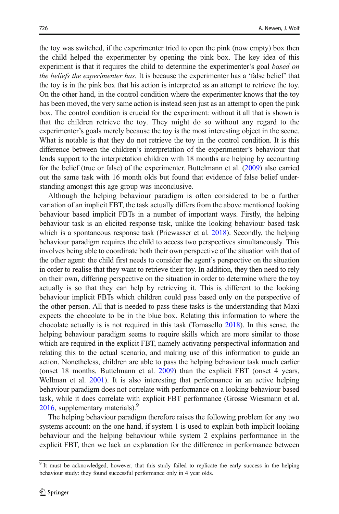the toy was switched, if the experimenter tried to open the pink (now empty) box then the child helped the experimenter by opening the pink box. The key idea of this experiment is that it requires the child to determine the experimenter's goal based on the beliefs the experimenter has. It is because the experimenter has a 'false belief' that the toy is in the pink box that his action is interpreted as an attempt to retrieve the toy. On the other hand, in the control condition where the experimenter knows that the toy has been moved, the very same action is instead seen just as an attempt to open the pink box. The control condition is crucial for the experiment: without it all that is shown is that the children retrieve the toy. They might do so without any regard to the experimenter's goals merely because the toy is the most interesting object in the scene. What is notable is that they do not retrieve the toy in the control condition. It is this difference between the children's interpretation of the experimenter's behaviour that lends support to the interpretation children with 18 months are helping by accounting for the belief (true or false) of the experimenter. Buttelmann et al. [\(2009\)](#page-24-0) also carried out the same task with 16 month olds but found that evidence of false belief understanding amongst this age group was inconclusive.

Although the helping behaviour paradigm is often considered to be a further variation of an implicit FBT, the task actually differs from the above mentioned looking behaviour based implicit FBTs in a number of important ways. Firstly, the helping behaviour task is an elicited response task, unlike the looking behaviour based task which is a spontaneous response task (Priewasser et al. [2018\)](#page-26-0). Secondly, the helping behaviour paradigm requires the child to access two perspectives simultaneously. This involves being able to coordinate both their own perspective of the situation with that of the other agent: the child first needs to consider the agent's perspective on the situation in order to realise that they want to retrieve their toy. In addition, they then need to rely on their own, differing perspective on the situation in order to determine where the toy actually is so that they can help by retrieving it. This is different to the looking behaviour implicit FBTs which children could pass based only on the perspective of the other person. All that is needed to pass these tasks is the understanding that Maxi expects the chocolate to be in the blue box. Relating this information to where the chocolate actually is is not required in this task (Tomasello [2018](#page-26-0)). In this sense, the helping behaviour paradigm seems to require skills which are more similar to those which are required in the explicit FBT, namely activating perspectival information and relating this to the actual scenario, and making use of this information to guide an action. Nonetheless, children are able to pass the helping behaviour task much earlier (onset 18 months, Buttelmann et al. [2009](#page-24-0)) than the explicit FBT (onset 4 years, Wellman et al. [2001\)](#page-27-0). It is also interesting that performance in an active helping behaviour paradigm does not correlate with performance on a looking behaviour based task, while it does correlate with explicit FBT performance (Grosse Wiesmann et al. [2016,](#page-24-0) supplementary materials).

The helping behaviour paradigm therefore raises the following problem for any two systems account: on the one hand, if system 1 is used to explain both implicit looking behaviour and the helping behaviour while system 2 explains performance in the explicit FBT, then we lack an explanation for the difference in performance between

<sup>&</sup>lt;sup>9</sup> It must be acknowledged, however, that this study failed to replicate the early success in the helping behaviour study: they found successful performance only in 4 year olds.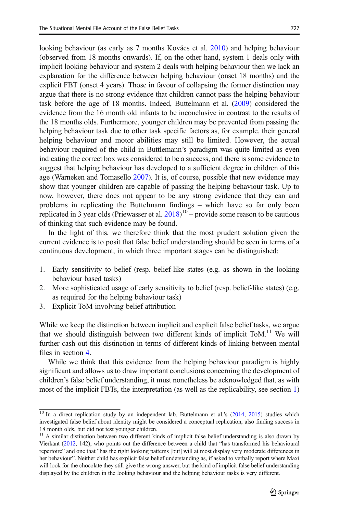looking behaviour (as early as 7 months Kovács et al. [2010](#page-25-0)) and helping behaviour (observed from 18 months onwards). If, on the other hand, system 1 deals only with implicit looking behaviour and system 2 deals with helping behaviour then we lack an explanation for the difference between helping behaviour (onset 18 months) and the explicit FBT (onset 4 years). Those in favour of collapsing the former distinction may argue that there is no strong evidence that children cannot pass the helping behaviour task before the age of 18 months. Indeed, Buttelmann et al. ([2009](#page-24-0)) considered the evidence from the 16 month old infants to be inconclusive in contrast to the results of the 18 months olds. Furthermore, younger children may be prevented from passing the helping behaviour task due to other task specific factors as, for example, their general helping behaviour and motor abilities may still be limited. However, the actual behaviour required of the child in Buttlemann's paradigm was quite limited as even indicating the correct box was considered to be a success, and there is some evidence to suggest that helping behaviour has developed to a sufficient degree in children of this age (Warneken and Tomasello [2007](#page-26-0)). It is, of course, possible that new evidence may show that younger children are capable of passing the helping behaviour task. Up to now, however, there does not appear to be any strong evidence that they can and problems in replicating the Buttelmann findings – which have so far only been replicated in 3 year olds (Priewasser et al.  $2018$ )<sup>10</sup> – provide some reason to be cautious of thinking that such evidence may be found.

In the light of this, we therefore think that the most prudent solution given the current evidence is to posit that false belief understanding should be seen in terms of a continuous development, in which three important stages can be distinguished:

- 1. Early sensitivity to belief (resp. belief-like states (e.g. as shown in the looking behaviour based tasks)
- 2. More sophisticated usage of early sensitivity to belief (resp. belief-like states) (e.g. as required for the helping behaviour task)
- 3. Explicit ToM involving belief attribution

While we keep the distinction between implicit and explicit false belief tasks, we argue that we should distinguish between two different kinds of implicit ToM.<sup>11</sup> We will further cash out this distinction in terms of different kinds of linking between mental files in section [4.](#page-14-0)

While we think that this evidence from the helping behaviour paradigm is highly significant and allows us to draw important conclusions concerning the development of children's false belief understanding, it must nonetheless be acknowledged that, as with most of the implicit FBTs, the interpretation (as well as the replicability, see section [1](#page-0-0))

<sup>&</sup>lt;sup>10</sup> In a direct replication study by an independent lab. Buttelmann et al.'s [\(2014,](#page-24-0) [2015](#page-24-0)) studies which investigated false belief about identity might be considered a conceptual replication, also finding success in 18 month olds, but did not test younger children.

<sup>&</sup>lt;sup>11</sup> A similar distinction between two different kinds of implicit false belief understanding is also drawn by Vierkant ([2012](#page-26-0), 142), who points out the difference between a child that "has transformed his behavioural repertoire" and one that "has the right looking patterns [but] will at most display very moderate differences in her behaviour". Neither child has explicit false belief understanding as, if asked to verbally report where Maxi will look for the chocolate they still give the wrong answer, but the kind of implicit false belief understanding displayed by the children in the looking behaviour and the helping behaviour tasks is very different.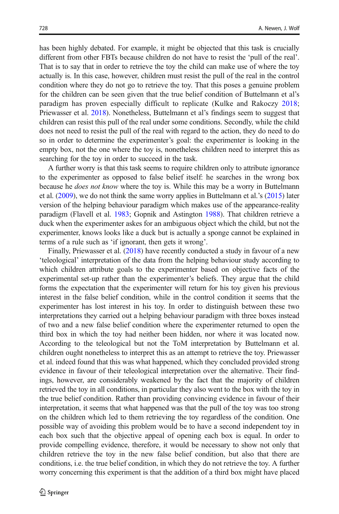has been highly debated. For example, it might be objected that this task is crucially different from other FBTs because children do not have to resist the 'pull of the real'. That is to say that in order to retrieve the toy the child can make use of where the toy actually is. In this case, however, children must resist the pull of the real in the control condition where they do not go to retrieve the toy. That this poses a genuine problem for the children can be seen given that the true belief condition of Buttelmann et al's paradigm has proven especially difficult to replicate (Kulke and Rakoczy [2018;](#page-25-0) Priewasser et al. [2018\)](#page-26-0). Nonetheless, Buttelmann et al's findings seem to suggest that children can resist this pull of the real under some conditions. Secondly, while the child does not need to resist the pull of the real with regard to the action, they do need to do so in order to determine the experimenter's goal: the experimenter is looking in the empty box, not the one where the toy is, nonetheless children need to interpret this as searching for the toy in order to succeed in the task.

A further worry is that this task seems to require children only to attribute ignorance to the experimenter as opposed to false belief itself: he searches in the wrong box because he *does not know* where the toy is. While this may be a worry in Buttelmann et al. [\(2009\)](#page-24-0), we do not think the same worry applies in Buttelmann et al.'s [\(2015\)](#page-24-0) later version of the helping behaviour paradigm which makes use of the appearance-reality paradigm (Flavell et al. [1983](#page-24-0); Gopnik and Astington [1988\)](#page-24-0). That children retrieve a duck when the experimenter askes for an ambiguous object which the child, but not the experimenter, knows looks like a duck but is actually a sponge cannot be explained in terms of a rule such as 'if ignorant, then gets it wrong'.

Finally, Priewasser et al. [\(2018\)](#page-26-0) have recently conducted a study in favour of a new 'teleological' interpretation of the data from the helping behaviour study according to which children attribute goals to the experimenter based on objective facts of the experimental set-up rather than the experimenter's beliefs. They argue that the child forms the expectation that the experimenter will return for his toy given his previous interest in the false belief condition, while in the control condition it seems that the experimenter has lost interest in his toy. In order to distinguish between these two interpretations they carried out a helping behaviour paradigm with three boxes instead of two and a new false belief condition where the experimenter returned to open the third box in which the toy had neither been hidden, nor where it was located now. According to the teleological but not the ToM interpretation by Buttelmann et al. children ought nonetheless to interpret this as an attempt to retrieve the toy. Priewasser et al. indeed found that this was what happened, which they concluded provided strong evidence in favour of their teleological interpretation over the alternative. Their findings, however, are considerably weakened by the fact that the majority of children retrieved the toy in all conditions, in particular they also went to the box with the toy in the true belief condition. Rather than providing convincing evidence in favour of their interpretation, it seems that what happened was that the pull of the toy was too strong on the children which led to them retrieving the toy regardless of the condition. One possible way of avoiding this problem would be to have a second independent toy in each box such that the objective appeal of opening each box is equal. In order to provide compelling evidence, therefore, it would be necessary to show not only that children retrieve the toy in the new false belief condition, but also that there are conditions, i.e. the true belief condition, in which they do not retrieve the toy. A further worry concerning this experiment is that the addition of a third box might have placed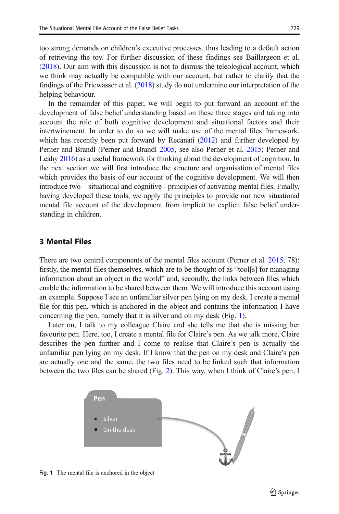<span id="page-12-0"></span>too strong demands on children's executive processes, thus leading to a default action of retrieving the toy. For further discussion of these findings see Baillargeon et al. [\(2018\)](#page-23-0). Our aim with this discussion is not to dismiss the teleological account, which we think may actually be compatible with our account, but rather to clarify that the findings of the Priewasser et al. ([2018](#page-26-0)) study do not undermine our interpretation of the helping behaviour.

In the remainder of this paper, we will begin to put forward an account of the development of false belief understanding based on these three stages and taking into account the role of both cognitive development and situational factors and their intertwinement. In order to do so we will make use of the mental files framework, which has recently been put forward by Recanati [\(2012\)](#page-26-0) and further developed by Perner and Brandl (Perner and Brandl [2005](#page-25-0), see also Perner et al. [2015](#page-26-0); Perner and Leahy [2016](#page-25-0)) as a useful framework for thinking about the development of cognition. In the next section we will first introduce the structure and organisation of mental files which provides the basis of our account of the cognitive development. We will then introduce two – situational and cognitive - principles of activating mental files. Finally, having developed these tools, we apply the principles to provide our new situational mental file account of the development from implicit to explicit false belief understanding in children.

#### 3 Mental Files

There are two central components of the mental files account (Perner et al. [2015](#page-26-0), 78): firstly, the mental files themselves, which are to be thought of as "tool[s] for managing information about an object in the world" and, secondly, the links between files which enable the information to be shared between them. We will introduce this account using an example. Suppose I see an unfamiliar silver pen lying on my desk. I create a mental file for this pen, which is anchored in the object and contains the information I have concerning the pen, namely that it is silver and on my desk (Fig. 1).

Later on, I talk to my colleague Claire and she tells me that she is missing her favourite pen. Here, too, I create a mental file for Claire's pen. As we talk more, Claire describes the pen further and I come to realise that Claire's pen is actually the unfamiliar pen lying on my desk. If I know that the pen on my desk and Claire's pen are actually one and the same, the two files need to be linked such that information between the two files can be shared (Fig. [2](#page-13-0)). This way, when I think of Claire's pen, I



Fig. 1 The mental file is anchored in the object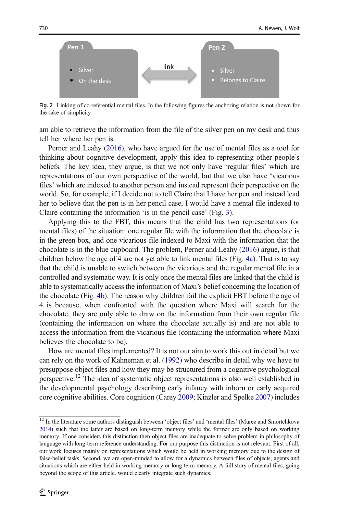<span id="page-13-0"></span>

Fig. 2 Linking of co-referential mental files. In the following figures the anchoring relation is not shown for the sake of simplicity

am able to retrieve the information from the file of the silver pen on my desk and thus tell her where her pen is.

Perner and Leahy ([2016](#page-25-0)), who have argued for the use of mental files as a tool for thinking about cognitive development, apply this idea to representing other people's beliefs. The key idea, they argue, is that we not only have 'regular files' which are representations of our own perspective of the world, but that we also have 'vicarious files' which are indexed to another person and instead represent their perspective on the world. So, for example, if I decide not to tell Claire that I have her pen and instead lead her to believe that the pen is in her pencil case, I would have a mental file indexed to Claire containing the information 'is in the pencil case' (Fig. [3\)](#page-14-0).

Applying this to the FBT, this means that the child has two representations (or mental files) of the situation: one regular file with the information that the chocolate is in the green box, and one vicarious file indexed to Maxi with the information that the chocolate is in the blue cupboard. The problem, Perner and Leahy [\(2016\)](#page-25-0) argue, is that children below the age of 4 are not yet able to link mental files (Fig. [4a\)](#page-15-0). That is to say that the child is unable to switch between the vicarious and the regular mental file in a controlled and systematic way. It is only once the mental files are linked that the child is able to systematically access the information of Maxi's belief concerning the location of the chocolate (Fig. [4b](#page-15-0)). The reason why children fail the explicit FBT before the age of 4 is because, when confronted with the question where Maxi will search for the chocolate, they are only able to draw on the information from their own regular file (containing the information on where the chocolate actually is) and are not able to access the information from the vicarious file (containing the information where Maxi believes the chocolate to be).

How are mental files implemented? It is not our aim to work this out in detail but we can rely on the work of Kahneman et al. [\(1992\)](#page-25-0) who describe in detail why we have to presuppose object files and how they may be structured from a cognitive psychological perspective.<sup>12</sup> The idea of systematic object representations is also well established in the developmental psychology describing early infancy with inborn or early acquired core cognitive abilities. Core cognition (Carey [2009;](#page-24-0) Kinzler and Spelke [2007\)](#page-25-0) includes

 $\frac{12}{12}$  In the literature some authors distinguish between 'object files' and 'mental files' (Murez and Smortchkova [2014\)](#page-25-0) such that the latter are based on long-term memory while the former are only based on working memory. If one considers this distinction then object files are inadequate to solve problem in philosophy of language with long-term reference understanding. For our purpose this distinction is not relevant. First of all, our work focuses mainly on representations which would be held in working memory due to the design of false-belief tasks. Second, we are open-minded to allow for a dynamics between files of objects, agents and situations which are either held in working memory or long-term memory. A full story of mental files, going beyond the scope of this article, would clearly integrate such dynamics.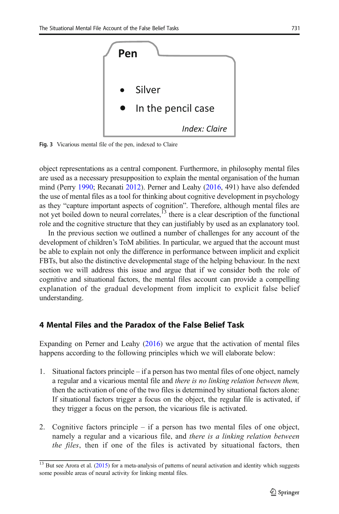<span id="page-14-0"></span>

Fig. 3 Vicarious mental file of the pen, indexed to Claire

object representations as a central component. Furthermore, in philosophy mental files are used as a necessary presupposition to explain the mental organisation of the human mind (Perry [1990;](#page-26-0) Recanati [2012\)](#page-26-0). Perner and Leahy ([2016](#page-25-0), 491) have also defended the use of mental files as a tool for thinking about cognitive development in psychology as they "capture important aspects of cognition". Therefore, although mental files are not yet boiled down to neural correlates, $^{13}$  there is a clear description of the functional role and the cognitive structure that they can justifiably by used as an explanatory tool.

In the previous section we outlined a number of challenges for any account of the development of children's ToM abilities. In particular, we argued that the account must be able to explain not only the difference in performance between implicit and explicit FBTs, but also the distinctive developmental stage of the helping behaviour. In the next section we will address this issue and argue that if we consider both the role of cognitive and situational factors, the mental files account can provide a compelling explanation of the gradual development from implicit to explicit false belief understanding.

## 4 Mental Files and the Paradox of the False Belief Task

Expanding on Perner and Leahy [\(2016\)](#page-25-0) we argue that the activation of mental files happens according to the following principles which we will elaborate below:

- 1. Situational factors principle if a person has two mental files of one object, namely a regular and a vicarious mental file and there is no linking relation between them, then the activation of one of the two files is determined by situational factors alone: If situational factors trigger a focus on the object, the regular file is activated, if they trigger a focus on the person, the vicarious file is activated.
- 2. Cognitive factors principle if a person has two mental files of one object, namely a regular and a vicarious file, and there is a linking relation between the files, then if one of the files is activated by situational factors, then

<sup>&</sup>lt;sup>13</sup> But see Arora et al. [\(2015\)](#page-23-0) for a meta-analysis of patterns of neural activation and identity which suggests some possible areas of neural activity for linking mental files.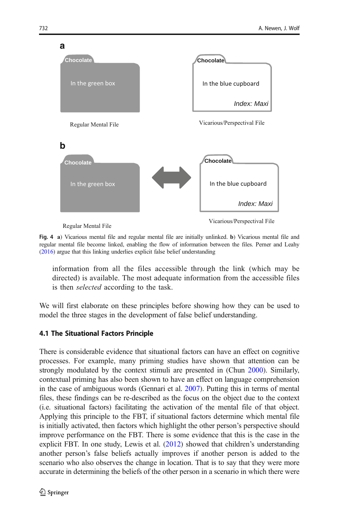<span id="page-15-0"></span>

Regular Mental File

 $\mathbf{V}$ 

Fig. 4 a) Vicarious mental file and regular mental file are initially unlinked. b) Vicarious mental file and regular mental file become linked, enabling the flow of information between the files. Perner and Leahy ([2016\)](#page-25-0) argue that this linking underlies explicit false belief understanding

information from all the files accessible through the link (which may be directed) is available. The most adequate information from the accessible files is then selected according to the task.

We will first elaborate on these principles before showing how they can be used to model the three stages in the development of false belief understanding.

## 4.1 The Situational Factors Principle

There is considerable evidence that situational factors can have an effect on cognitive processes. For example, many priming studies have shown that attention can be strongly modulated by the context stimuli are presented in (Chun [2000](#page-24-0)). Similarly, contextual priming has also been shown to have an effect on language comprehension in the case of ambiguous words (Gennari et al. [2007](#page-24-0)). Putting this in terms of mental files, these findings can be re-described as the focus on the object due to the context (i.e. situational factors) facilitating the activation of the mental file of that object. Applying this principle to the FBT, if situational factors determine which mental file is initially activated, then factors which highlight the other person's perspective should improve performance on the FBT. There is some evidence that this is the case in the explicit FBT. In one study, Lewis et al. ([2012](#page-25-0)) showed that children's understanding another person's false beliefs actually improves if another person is added to the scenario who also observes the change in location. That is to say that they were more accurate in determining the beliefs of the other person in a scenario in which there were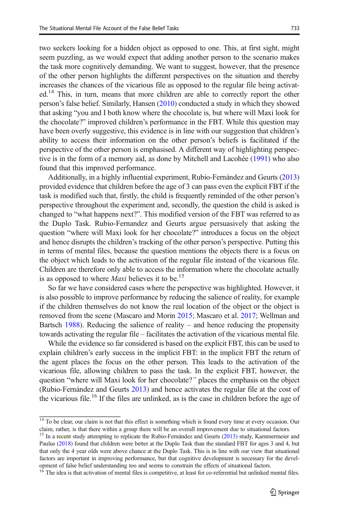two seekers looking for a hidden object as opposed to one. This, at first sight, might seem puzzling, as we would expect that adding another person to the scenario makes the task more cognitively demanding. We want to suggest, however, that the presence of the other person highlights the different perspectives on the situation and thereby increases the chances of the vicarious file as opposed to the regular file being activated.<sup>14</sup> This, in turn, means that more children are able to correctly report the other person's false belief. Similarly, Hansen ([2010](#page-24-0)) conducted a study in which they showed that asking "you and I both know where the chocolate is, but where will Maxi look for the chocolate?" improved children's performance in the FBT. While this question may have been overly suggestive, this evidence is in line with our suggestion that children's ability to access their information on the other person's beliefs is facilitated if the perspective of the other person is emphasised. A different way of highlighting perspective is in the form of a memory aid, as done by Mitchell and Lacohée ([1991](#page-25-0)) who also found that this improved performance.

Additionally, in a highly influential experiment, Rubio-Fernández and Geurts ([2013](#page-26-0)) provided evidence that children before the age of 3 can pass even the explicit FBT if the task is modified such that, firstly, the child is frequently reminded of the other person's perspective throughout the experiment and, secondly, the question the child is asked is changed to "what happens next?". This modified version of the FBT was referred to as the Duplo Task. Rubio-Fernandez and Geurts argue persuasively that asking the question "where will Maxi look for her chocolate?" introduces a focus on the object and hence disrupts the children's tracking of the other person's perspective. Putting this in terms of mental files, because the question mentions the objects there is a focus on the object which leads to the activation of the regular file instead of the vicarious file. Children are therefore only able to access the information where the chocolate actually is as opposed to where *Maxi* believes it to be.<sup>15</sup>

So far we have considered cases where the perspective was highlighted. However, it is also possible to improve performance by reducing the salience of reality, for example if the children themselves do not know the real location of the object or the object is removed from the scene (Mascaro and Morin [2015;](#page-25-0) Mascaro et al. [2017;](#page-25-0) Wellman and Bartsch [1988\)](#page-26-0). Reducing the salience of reality – and hence reducing the propensity towards activating the regular file – facilitates the activation of the vicarious mental file.

While the evidence so far considered is based on the explicit FBT, this can be used to explain children's early success in the implicit FBT: in the implicit FBT the return of the agent places the focus on the other person. This leads to the activation of the vicarious file, allowing children to pass the task. In the explicit FBT, however, the question "where will Maxi look for her chocolate?" places the emphasis on the object (Rubio-Fernández and Geurts [2013](#page-26-0)) and hence activates the regular file at the cost of the vicarious file.<sup>16</sup> If the files are unlinked, as is the case in children before the age of

<sup>&</sup>lt;sup>14</sup> To be clear, our claim is not that this effect is something which is found every time at every occasion. Our claim, rather, is that there within a group there will be an overall improvement due to situational factors.

<sup>&</sup>lt;sup>15</sup> In a recent study attempting to replicate the Rubio-Fernández and Geurts [\(2013\)](#page-26-0) study, Kammermeier and Paulus [\(2018\)](#page-25-0) found that children were better at the Duplo Task than the standard FBT for ages 3 and 4, but that only the 4 year olds were above chance at the Duplo Task. This is in line with our view that situational factors are important in improving performance, but that cognitive development is necessary for the development of false belief understanding too and seems to constrain the effects of situational factors.

 $16$  The idea is that activation of mental files is competitive, at least for co-referential but unlinked mental files.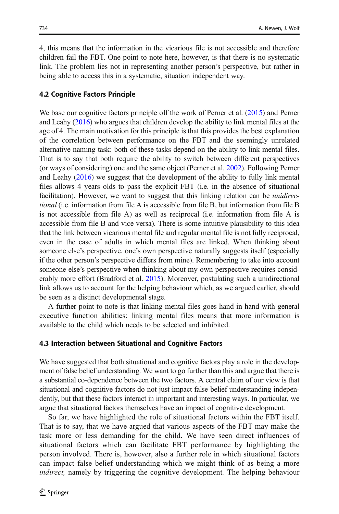4, this means that the information in the vicarious file is not accessible and therefore children fail the FBT. One point to note here, however, is that there is no systematic link. The problem lies not in representing another person's perspective, but rather in being able to access this in a systematic, situation independent way.

#### 4.2 Cognitive Factors Principle

We base our cognitive factors principle off the work of Perner et al. [\(2015](#page-26-0)) and Perner and Leahy [\(2016\)](#page-25-0) who argues that children develop the ability to link mental files at the age of 4. The main motivation for this principle is that this provides the best explanation of the correlation between performance on the FBT and the seemingly unrelated alternative naming task: both of these tasks depend on the ability to link mental files. That is to say that both require the ability to switch between different perspectives (or ways of considering) one and the same object (Perner et al. [2002](#page-26-0)). Following Perner and Leahy [\(2016](#page-25-0)) we suggest that the development of the ability to fully link mental files allows 4 years olds to pass the explicit FBT (i.e. in the absence of situational facilitation). However, we want to suggest that this linking relation can be *unidirec*tional (i.e. information from file A is accessible from file B, but information from file B is not accessible from file A) as well as reciprocal (i.e. information from file A is accessible from file B and vice versa). There is some intuitive plausibility to this idea that the link between vicarious mental file and regular mental file is not fully reciprocal, even in the case of adults in which mental files are linked. When thinking about someone else's perspective, one's own perspective naturally suggests itself (especially if the other person's perspective differs from mine). Remembering to take into account someone else's perspective when thinking about my own perspective requires considerably more effort (Bradford et al. [2015](#page-24-0)). Moreover, postulating such a unidirectional link allows us to account for the helping behaviour which, as we argued earlier, should be seen as a distinct developmental stage.

A further point to note is that linking mental files goes hand in hand with general executive function abilities: linking mental files means that more information is available to the child which needs to be selected and inhibited.

#### 4.3 Interaction between Situational and Cognitive Factors

We have suggested that both situational and cognitive factors play a role in the development of false belief understanding. We want to go further than this and argue that there is a substantial co-dependence between the two factors. A central claim of our view is that situational and cognitive factors do not just impact false belief understanding independently, but that these factors interact in important and interesting ways. In particular, we argue that situational factors themselves have an impact of cognitive development.

So far, we have highlighted the role of situational factors within the FBT itself. That is to say, that we have argued that various aspects of the FBT may make the task more or less demanding for the child. We have seen direct influences of situational factors which can facilitate FBT performance by highlighting the person involved. There is, however, also a further role in which situational factors can impact false belief understanding which we might think of as being a more indirect, namely by triggering the cognitive development. The helping behaviour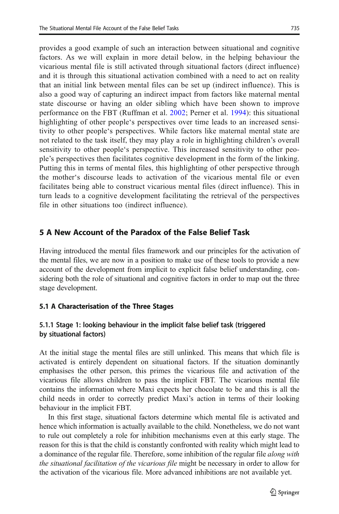<span id="page-18-0"></span>provides a good example of such an interaction between situational and cognitive factors. As we will explain in more detail below, in the helping behaviour the vicarious mental file is still activated through situational factors (direct influence) and it is through this situational activation combined with a need to act on reality that an initial link between mental files can be set up (indirect influence). This is also a good way of capturing an indirect impact from factors like maternal mental state discourse or having an older sibling which have been shown to improve performance on the FBT (Ruffman et al. [2002;](#page-26-0) Perner et al. [1994](#page-26-0)): this situational highlighting of other people's perspectives over time leads to an increased sensitivity to other people's perspectives. While factors like maternal mental state are not related to the task itself, they may play a role in highlighting children's overall sensitivity to other people's perspective. This increased sensitivity to other people's perspectives then facilitates cognitive development in the form of the linking. Putting this in terms of mental files, this highlighting of other perspective through the mother's discourse leads to activation of the vicarious mental file or even facilitates being able to construct vicarious mental files (direct influence). This in turn leads to a cognitive development facilitating the retrieval of the perspectives file in other situations too (indirect influence).

## 5 A New Account of the Paradox of the False Belief Task

Having introduced the mental files framework and our principles for the activation of the mental files, we are now in a position to make use of these tools to provide a new account of the development from implicit to explicit false belief understanding, considering both the role of situational and cognitive factors in order to map out the three stage development.

## 5.1 A Characterisation of the Three Stages

## 5.1.1 Stage 1: looking behaviour in the implicit false belief task (triggered by situational factors)

At the initial stage the mental files are still unlinked. This means that which file is activated is entirely dependent on situational factors. If the situation dominantly emphasises the other person, this primes the vicarious file and activation of the vicarious file allows children to pass the implicit FBT. The vicarious mental file contains the information where Maxi expects her chocolate to be and this is all the child needs in order to correctly predict Maxi's action in terms of their looking behaviour in the implicit FBT.

In this first stage, situational factors determine which mental file is activated and hence which information is actually available to the child. Nonetheless, we do not want to rule out completely a role for inhibition mechanisms even at this early stage. The reason for this is that the child is constantly confronted with reality which might lead to a dominance of the regular file. Therefore, some inhibition of the regular file *along with* the situational facilitation of the vicarious file might be necessary in order to allow for the activation of the vicarious file. More advanced inhibitions are not available yet.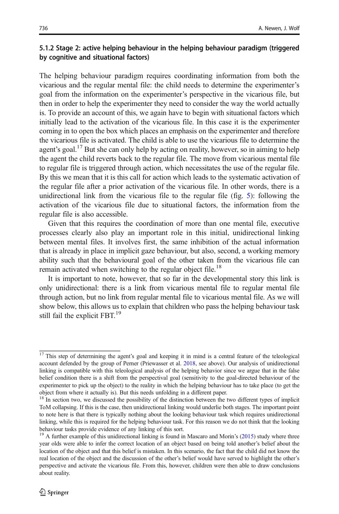## 5.1.2 Stage 2: active helping behaviour in the helping behaviour paradigm (triggered by cognitive and situational factors)

The helping behaviour paradigm requires coordinating information from both the vicarious and the regular mental file: the child needs to determine the experimenter's goal from the information on the experimenter's perspective in the vicarious file, but then in order to help the experimenter they need to consider the way the world actually is. To provide an account of this, we again have to begin with situational factors which initially lead to the activation of the vicarious file. In this case it is the experimenter coming in to open the box which places an emphasis on the experimenter and therefore the vicarious file is activated. The child is able to use the vicarious file to determine the agent's goal.<sup>17</sup> But she can only help by acting on reality, however, so in aiming to help the agent the child reverts back to the regular file. The move from vicarious mental file to regular file is triggered through action, which necessitates the use of the regular file. By this we mean that it is this call for action which leads to the systematic activation of the regular file after a prior activation of the vicarious file. In other words, there is a unidirectional link from the vicarious file to the regular file (fig. [5\)](#page-20-0): following the activation of the vicarious file due to situational factors, the information from the regular file is also accessible.

Given that this requires the coordination of more than one mental file, executive processes clearly also play an important role in this initial, unidirectional linking between mental files. It involves first, the same inhibition of the actual information that is already in place in implicit gaze behaviour, but also, second, a working memory ability such that the behavioural goal of the other taken from the vicarious file can remain activated when switching to the regular object file.<sup>18</sup>

It is important to note, however, that so far in the developmental story this link is only unidirectional: there is a link from vicarious mental file to regular mental file through action, but no link from regular mental file to vicarious mental file. As we will show below, this allows us to explain that children who pass the helping behaviour task still fail the explicit  $FBT<sub>19</sub>$ 

<sup>&</sup>lt;sup>17</sup> This step of determining the agent's goal and keeping it in mind is a central feature of the teleological account defended by the group of Perner (Priewasser et al. [2018](#page-26-0), see above). Our analysis of unidirectional linking is compatible with this teleological analysis of the helping behavior since we argue that in the false belief condition there is a shift from the perspectival goal (sensitivity to the goal-directed behaviour of the experimenter to pick up the object) to the reality in which the helping behaviour has to take place (to get the object from where it actually is). But this needs unfolding in a different paper.

<sup>&</sup>lt;sup>18</sup> In section two, we discussed the possibility of the distinction between the two different types of implicit ToM collapsing. If this is the case, then unidirectional linking would underlie both stages. The important point to note here is that there is typically nothing about the looking behaviour task which requires unidirectional linking, while this is required for the helping behaviour task. For this reason we do not think that the looking behaviour tasks provide evidence of any linking of this sort.

<sup>&</sup>lt;sup>19</sup> A further example of this unidirectional linking is found in Mascaro and Morin's [\(2015\)](#page-25-0) study where three year olds were able to infer the correct location of an object based on being told another's belief about the location of the object and that this belief is mistaken. In this scenario, the fact that the child did not know the real location of the object and the discussion of the other's belief would have served to highlight the other's perspective and activate the vicarious file. From this, however, children were then able to draw conclusions about reality.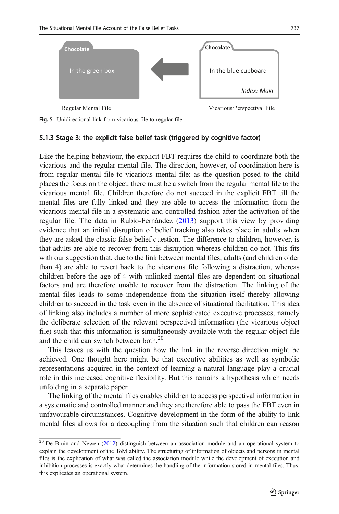<span id="page-20-0"></span>

Regular Mental File Fig. 5 Unidirectional link from vicarious file to regular file

#### 5.1.3 Stage 3: the explicit false belief task (triggered by cognitive factor)

Like the helping behaviour, the explicit FBT requires the child to coordinate both the vicarious and the regular mental file. The direction, however, of coordination here is from regular mental file to vicarious mental file: as the question posed to the child places the focus on the object, there must be a switch from the regular mental file to the vicarious mental file. Children therefore do not succeed in the explicit FBT till the mental files are fully linked and they are able to access the information from the vicarious mental file in a systematic and controlled fashion after the activation of the regular file. The data in Rubio-Fernández ([2013\)](#page-26-0) support this view by providing evidence that an initial disruption of belief tracking also takes place in adults when they are asked the classic false belief question. The difference to children, however, is that adults are able to recover from this disruption whereas children do not. This fits with our suggestion that, due to the link between mental files, adults (and children older than 4) are able to revert back to the vicarious file following a distraction, whereas children before the age of 4 with unlinked mental files are dependent on situational factors and are therefore unable to recover from the distraction. The linking of the mental files leads to some independence from the situation itself thereby allowing children to succeed in the task even in the absence of situational facilitation. This idea of linking also includes a number of more sophisticated executive processes, namely the deliberate selection of the relevant perspectival information (the vicarious object file) such that this information is simultaneously available with the regular object file and the child can switch between both.<sup>20</sup>

This leaves us with the question how the link in the reverse direction might be achieved. One thought here might be that executive abilities as well as symbolic representations acquired in the context of learning a natural language play a crucial role in this increased cognitive flexibility. But this remains a hypothesis which needs unfolding in a separate paper.

The linking of the mental files enables children to access perspectival information in a systematic and controlled manner and they are therefore able to pass the FBT even in unfavourable circumstances. Cognitive development in the form of the ability to link mental files allows for a decoupling from the situation such that children can reason

 $\mathbf{V}$ 

 $20$  De Bruin and Newen [\(2012\)](#page-24-0) distinguish between an association module and an operational system to explain the development of the ToM ability. The structuring of information of objects and persons in mental files is the explication of what was called the association module while the development of execution and inhibition processes is exactly what determines the handling of the information stored in mental files. Thus, this explicates an operational system.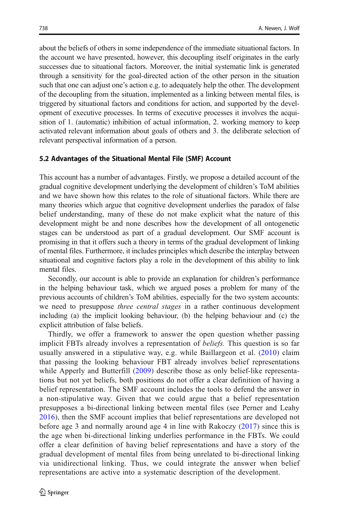about the beliefs of others in some independence of the immediate situational factors. In the account we have presented, however, this decoupling itself originates in the early successes due to situational factors. Moreover, the initial systematic link is generated through a sensitivity for the goal-directed action of the other person in the situation such that one can adjust one's action e.g. to adequately help the other. The development of the decoupling from the situation, implemented as a linking between mental files, is triggered by situational factors and conditions for action, and supported by the development of executive processes. In terms of executive processes it involves the acquisition of 1. (automatic) inhibition of actual information, 2. working memory to keep activated relevant information about goals of others and 3. the deliberate selection of relevant perspectival information of a person.

#### 5.2 Advantages of the Situational Mental File (SMF) Account

This account has a number of advantages. Firstly, we propose a detailed account of the gradual cognitive development underlying the development of children's ToM abilities and we have shown how this relates to the role of situational factors. While there are many theories which argue that cognitive development underlies the paradox of false belief understanding, many of these do not make explicit what the nature of this development might be and none describes how the development of all ontogenetic stages can be understood as part of a gradual development. Our SMF account is promising in that it offers such a theory in terms of the gradual development of linking of mental files. Furthermore, it includes principles which describe the interplay between situational and cognitive factors play a role in the development of this ability to link mental files.

Secondly, our account is able to provide an explanation for children's performance in the helping behaviour task, which we argued poses a problem for many of the previous accounts of children's ToM abilities, especially for the two system accounts: we need to presuppose *three central stages* in a rather continuous development including (a) the implicit looking behaviour, (b) the helping behaviour and (c) the explicit attribution of false beliefs.

Thirdly, we offer a framework to answer the open question whether passing implicit FBTs already involves a representation of *beliefs*. This question is so far usually answered in a stipulative way, e.g. while Baillargeon et al. ([2010\)](#page-23-0) claim that passing the looking behaviour FBT already involves belief representations while Apperly and Butterfill ([2009](#page-23-0)) describe those as only belief-like representations but not yet beliefs, both positions do not offer a clear definition of having a belief representation. The SMF account includes the tools to defend the answer in a non-stipulative way. Given that we could argue that a belief representation presupposes a bi-directional linking between mental files (see Perner and Leahy [2016](#page-25-0)), then the SMF account implies that belief representations are developed not before age 3 and normally around age 4 in line with Rakoczy ([2017](#page-26-0)) since this is the age when bi-directional linking underlies performance in the FBTs. We could offer a clear definition of having belief representations and have a story of the gradual development of mental files from being unrelated to bi-directional linking via unidirectional linking. Thus, we could integrate the answer when belief representations are active into a systematic description of the development.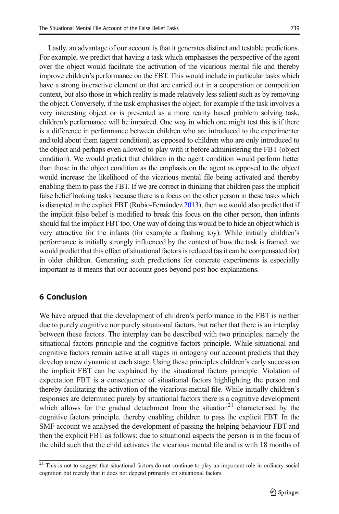Lastly, an advantage of our account is that it generates distinct and testable predictions. For example, we predict that having a task which emphasises the perspective of the agent over the object would facilitate the activation of the vicarious mental file and thereby improve children's performance on the FBT. This would include in particular tasks which have a strong interactive element or that are carried out in a cooperation or competition context, but also those in which reality is made relatively less salient such as by removing the object. Conversely, if the task emphasises the object, for example if the task involves a very interesting object or is presented as a more reality based problem solving task, children's performance will be impaired. One way in which one might test this is if there is a difference in performance between children who are introduced to the experimenter and told about them (agent condition), as opposed to children who are only introduced to the object and perhaps even allowed to play with it before administering the FBT (object condition). We would predict that children in the agent condition would perform better than those in the object condition as the emphasis on the agent as opposed to the object would increase the likelihood of the vicarious mental file being activated and thereby enabling them to pass the FBT. If we are correct in thinking that children pass the implicit false belief looking tasks because there is a focus on the other person in these tasks which is disrupted in the explicit FBT (Rubio-Fernández [2013\)](#page-26-0), then we would also predict that if the implicit false belief is modified to break this focus on the other person, then infants should fail the implicit FBT too. One way of doing this would be to hide an object which is very attractive for the infants (for example a flashing toy). While initially children's performance is initially strongly influenced by the context of how the task is framed, we would predict that this effect of situational factors is reduced (as it can be compensated for) in older children. Generating such predictions for concrete experiments is especially important as it means that our account goes beyond post-hoc explanations.

## 6 Conclusion

We have argued that the development of children's performance in the FBT is neither due to purely cognitive nor purely situational factors, but rather that there is an interplay between these factors. The interplay can be described with two principles, namely the situational factors principle and the cognitive factors principle. While situational and cognitive factors remain active at all stages in ontogeny our account predicts that they develop a new dynamic at each stage. Using these principles children's early success on the implicit FBT can be explained by the situational factors principle. Violation of expectation FBT is a consequence of situational factors highlighting the person and thereby facilitating the activation of the vicarious mental file. While initially children's responses are determined purely by situational factors there is a cognitive development which allows for the gradual detachment from the situation<sup>21</sup> characterised by the cognitive factors principle, thereby enabling children to pass the explicit FBT. In the SMF account we analysed the development of passing the helping behaviour FBT and then the explicit FBT as follows: due to situational aspects the person is in the focus of the child such that the child activates the vicarious mental file and is with 18 months of

<sup>&</sup>lt;sup>21</sup> This is not to suggest that situational factors do not continue to play an important role in ordinary social cognition but merely that it does not depend primarily on situational factors.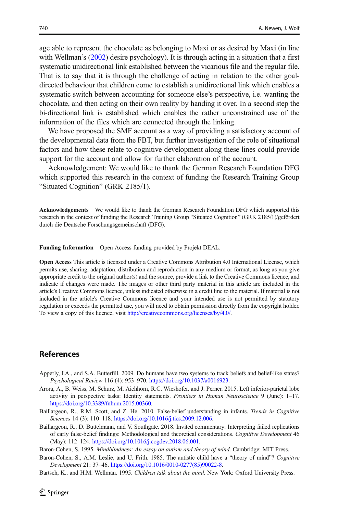<span id="page-23-0"></span>age able to represent the chocolate as belonging to Maxi or as desired by Maxi (in line with Wellman's [\(2002](#page-26-0)) desire psychology). It is through acting in a situation that a first systematic unidirectional link established between the vicarious file and the regular file. That is to say that it is through the challenge of acting in relation to the other goaldirected behaviour that children come to establish a unidirectional link which enables a systematic switch between accounting for someone else's perspective, i.e. wanting the chocolate, and then acting on their own reality by handing it over. In a second step the bi-directional link is established which enables the rather unconstrained use of the information of the files which are connected through the linking.

We have proposed the SMF account as a way of providing a satisfactory account of the developmental data from the FBT, but further investigation of the role of situational factors and how these relate to cognitive development along these lines could provide support for the account and allow for further elaboration of the account.

Acknowledgement: We would like to thank the German Research Foundation DFG which supported this research in the context of funding the Research Training Group "Situated Cognition" (GRK 2185/1).

Acknowledgements We would like to thank the German Research Foundation DFG which supported this research in the context of funding the Research Training Group "Situated Cognition" (GRK 2185/1)/gefördert durch die Deutsche Forschungsgemeinschaft (DFG).

Funding Information Open Access funding provided by Projekt DEAL.

Open Access This article is licensed under a Creative Commons Attribution 4.0 International License, which permits use, sharing, adaptation, distribution and reproduction in any medium or format, as long as you give appropriate credit to the original author(s) and the source, provide a link to the Creative Commons licence, and indicate if changes were made. The images or other third party material in this article are included in the article's Creative Commons licence, unless indicated otherwise in a credit line to the material. If material is not included in the article's Creative Commons licence and your intended use is not permitted by statutory regulation or exceeds the permitted use, you will need to obtain permission directly from the copyright holder. To view a copy of this licence, visit [http://creativecommons.org/licenses/by/4.0/.](http://creativecommons.org/licenses/by/4.0/)

## **References**

- Apperly, I.A., and S.A. Butterfill. 2009. Do humans have two systems to track beliefs and belief-like states? Psychological Review 116 (4): 953–970. <https://doi.org/10.1037/a0016923>.
- Arora, A., B. Weiss, M. Schurz, M. Aichhorn, R.C. Wieshofer, and J. Perner. 2015. Left inferior-parietal lobe activity in perspective tasks: Identity statements. Frontiers in Human Neuroscience 9 (June): 1–17. [https://doi.org/10.3389/fnhum.2015.00360.](https://doi.org/10.3389/fnhum.2015.00360)
- Baillargeon, R., R.M. Scott, and Z. He. 2010. False-belief understanding in infants. Trends in Cognitive Sciences 14 (3): 110–118. [https://doi.org/10.1016/j.tics.2009.12.006.](https://doi.org/10.1016/j.tics.2009.12.006)
- Baillargeon, R., D. Buttelmann, and V. Southgate. 2018. Invited commentary: Interpreting failed replications of early false-belief findings: Methodological and theoretical considerations. Cognitive Development 46 (May): 112–124. [https://doi.org/10.1016/j.cogdev.2018.06.001.](https://doi.org/10.1016/j.cogdev.2018.06.001)
- Baron-Cohen, S. 1995. Mindblindness: An essay on autism and theory of mind. Cambridge: MIT Press.
- Baron-Cohen, S., A.M. Leslie, and U. Frith. 1985. The autistic child have a "theory of mind"? Cognitive Development 21: 37–46. [https://doi.org/10.1016/0010-0277\(85\)90022-8.](https://doi.org/10.1016/0010-0277(85)90022-8)
- Bartsch, K., and H.M. Wellman. 1995. Children talk about the mind. New York: Oxford University Press.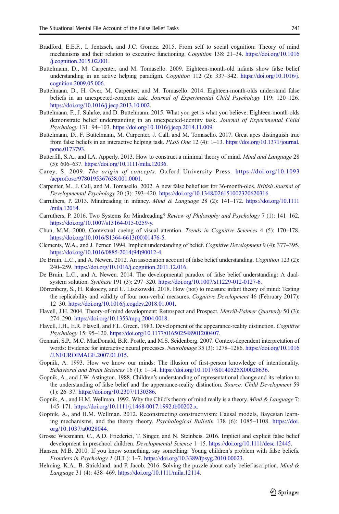- <span id="page-24-0"></span>Bradford, E.E.F., I. Jentzsch, and J.C. Gomez. 2015. From self to social cognition: Theory of mind mechanisms and their relation to executive functioning. Cognition 138: 21–34. [https://doi.org/10.1016](https://doi.org/10.1016/j.cognition.2015.02.001) [/j.cognition.2015.02.001](https://doi.org/10.1016/j.cognition.2015.02.001).
- Buttelmann, D., M. Carpenter, and M. Tomasello. 2009. Eighteen-month-old infants show false belief understanding in an active helping paradigm. Cognition 112 (2): 337-342. [https://doi.org/10.1016/j.](https://doi.org/10.1016/j.cognition.2009.05.006) [cognition.2009.05.006](https://doi.org/10.1016/j.cognition.2009.05.006).
- Buttelmann, D., H. Over, M. Carpenter, and M. Tomasello. 2014. Eighteen-month-olds understand false beliefs in an unexpected-contents task. Journal of Experimental Child Psychology 119: 120–126. <https://doi.org/10.1016/j.jecp.2013.10.002>.
- Buttelmann, F., J. Suhrke, and D. Buttelmann. 2015. What you get is what you believe: Eighteen-month-olds demonstrate belief understanding in an unexpected-identity task. Journal of Experimental Child Psychology 131: 94–103. [https://doi.org/10.1016/j.jecp.2014.11.009](http://creativecommons.org/licenses/by/4.0/).
- Buttelmann, D., F. Buttelmann, M. Carpenter, J. Call, and M. Tomasello. 2017. Great apes distinguish true from false beliefs in an interactive helping task. PLoS One 12 (4): 1–13. [https://doi.org/10.1371/journal.](https://doi.org/10.1371/journal.pone.0173793) [pone.0173793.](https://doi.org/10.1371/journal.pone.0173793)
- Butterfill, S.A., and I.A. Apperly. 2013. How to construct a minimal theory of mind. Mind and Language 28 (5): 606–637. [https://doi.org/10.1111/mila.12036.](https://doi.org/10.1111/mila.12036)
- Carey, S. 2009. The origin of concepts. Oxford University Press. [https://doi.org/10.1093](https://doi.org/10.1093/acprof:oso/9780195367638.001.0001) [/acprof:oso/9780195367638.001.0001.](https://doi.org/10.1093/acprof:oso/9780195367638.001.0001)
- Carpenter, M., J. Call, and M. Tomasello. 2002. A new false belief test for 36-month-olds. British Journal of Developmental Psychology 20 (3): 393–420. <https://doi.org/10.1348/026151002320620316>.
- Carruthers, P. 2013. Mindreading in infancy. Mind & Language 28 (2): 141–172. [https://doi.org/10.1111](https://doi.org/10.1111/mila.12014) [/mila.12014.](https://doi.org/10.1111/mila.12014)
- Carruthers, P. 2016. Two Systems for Mindreading? Review of Philosophy and Psychology 7 (1): 141–162. [https://doi.org/10.1007/s13164-015-0259-y.](https://doi.org/10.1007/s13164-015-0259-y)
- Chun, M.M. 2000. Contextual cueing of visual attention. Trends in Cognitive Sciences 4 (5): 170–178. [https://doi.org/10.1016/S1364-6613\(00\)01476-5](https://doi.org/10.1016/S1364-6613(00)01476-5).
- Clements, W.A., and J. Perner. 1994. Implicit understanding of belief. Cognitive Development 9 (4): 377–395. [https://doi.org/10.1016/0885-2014\(94\)90012-4.](https://doi.org/10.1016/0885-2014(94)90012-4)
- De Bruin, L.C., and A. Newen. 2012. An association account of false belief understanding. Cognition 123 (2): 240–259. [https://doi.org/10.1016/j.cognition.2011.12.016.](https://doi.org/10.1016/j.cognition.2011.12.016)
- De Bruin, L.C., and A. Newen. 2014. The developmental paradox of false belief understanding: A dualsystem solution. Synthese 191 (3): 297–320. [https://doi.org/10.1007/s11229-012-0127-6.](https://doi.org/10.1007/s11229-012-0127-6)
- Dörrenberg, S., H. Rakoczy, and U. Liszkowski. 2018. How (not) to measure infant theory of mind: Testing the replicability and validity of four non-verbal measures. Cognitive Development 46 (February 2017): 12–30. [https://doi.org/10.1016/j.cogdev.2018.01.001.](https://doi.org/10.1016/j.cogdev.2018.01.001)
- Flavell, J.H. 2004. Theory-of-mind development: Retrospect and Prospect. Merrill-Palmer Quarterly 50 (3): 274–290. [https://doi.org/10.1353/mpq.2004.0018.](https://doi.org/10.1353/mpq.2004.0018)
- Flavell, J.H., E.R. Flavell, and F.L. Green. 1983. Development of the appearance-reality distinction. Cognitive Psychology 15: 95–120. [https://doi.org/10.1177/016502548901200407.](https://doi.org/10.1177/016502548901200407)
- Gennari, S.P., M.C. MacDonald, B.R. Postle, and M.S. Seidenberg. 2007. Context-dependent interpretation of words: Evidence for interactive neural processes. NeuroImage 35 (3): 1278–1286. [https://doi.org/10.1016](https://doi.org/10.1016/J.NEUROIMAGE.2007.01.015) [/J.NEUROIMAGE.2007.01.015](https://doi.org/10.1016/J.NEUROIMAGE.2007.01.015).
- Gopnik, A. 1993. How we know our minds: The illusion of first-person knowledge of intentionality. Behavioral and Brain Sciences 16 (1): 1–14. <https://doi.org/10.1017/S0140525X00028636>.
- Gopnik, A., and J.W. Astington. 1988. Children's understanding of representational change and its relation to the understanding of false belief and the appearance-reality distinction. Source: Child Development 59 (1): 26–37. [https://doi.org/10.2307/1130386.](https://doi.org/10.2307/1130386)
- Gopnik, A., and H.M. Wellman. 1992. Why the Child's theory of mind really is a theory. Mind & Language 7: 145–171. <https://doi.org/10.1111/j.1468-0017.1992.tb00202.x>.
- Gopnik, A., and H.M. Wellman. 2012. Reconstructing constructivism: Causal models, Bayesian learning mechanisms, and the theory theory. Psychological Bulletin 138 (6): 1085–1108. [https://doi.](https://doi.org/10.1037/a0028044) [org/10.1037/a0028044.](https://doi.org/10.1037/a0028044)
- Grosse Wiesmann, C., A.D. Friederici, T. Singer, and N. Steinbeis. 2016. Implicit and explicit false belief development in preschool children. Developmental Science 1–15. <https://doi.org/10.1111/desc.12445>.
- Hansen, M.B. 2010. If you know something, say something: Young children's problem with false beliefs. Frontiers in Psychology 1 (JUL): 1–7. [https://doi.org/10.3389/fpsyg.2010.00023.](https://doi.org/10.3389/fpsyg.2010.00023)
- Helming, K.A., B. Strickland, and P. Jacob. 2016. Solving the puzzle about early belief-ascription. Mind & Language 31 (4): 438–469. [https://doi.org/10.1111/mila.12114.](https://doi.org/10.1111/mila.12114)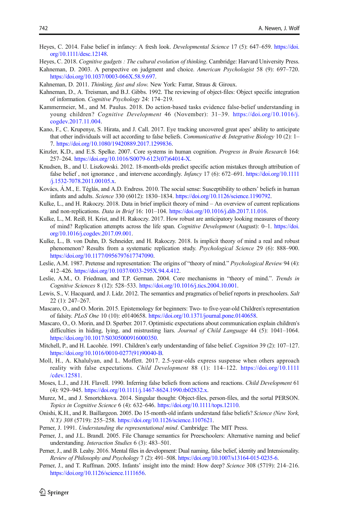- <span id="page-25-0"></span>Heyes, C. 2014. False belief in infancy: A fresh look. *Developmental Science* 17 (5): 647–659. [https://doi.](https://doi.org/10.1111/desc.12148) [org/10.1111/desc.12148](https://doi.org/10.1111/desc.12148).
- Heyes, C. 2018. Cognitive gadgets : The cultural evolution of thinking. Cambridge: Harvard University Press.
- Kahneman, D. 2003. A perspective on judgment and choice. American Psychologist 58 (9): 697-720. <https://doi.org/10.1037/0003-066X.58.9.697>.
- Kahneman, D. 2011. Thinking, fast and slow. New York: Farrar, Straus & Giroux.
- Kahneman, D., A. Treisman, and B.J. Gibbs. 1992. The reviewing of object-files: Object specific integration of information. Cognitive Psychology 24: 174–219.
- Kammermeier, M., and M. Paulus. 2018. Do action-based tasks evidence false-belief understanding in young children? Cognitive Development 46 (November): 31–39. [https://doi.org/10.1016/j.](https://doi.org/10.1016/j.cogdev.2017.11.004) [cogdev.2017.11.004.](https://doi.org/10.1016/j.cogdev.2017.11.004)
- Kano, F., C. Krupenye, S. Hirata, and J. Call. 2017. Eye tracking uncovered great apes' ability to anticipate that other individuals will act according to false beliefs. Communicative & Integrative Biology 10 (2): 1– 7. [https://doi.org/10.1080/19420889.2017.1299836.](https://doi.org/10.1080/19420889.2017.1299836)
- Kinzler, K.D., and E.S. Spelke. 2007. Core systems in human cognition. Progress in Brain Research 164: 257–264. [https://doi.org/10.1016/S0079-6123\(07\)64014-X](https://doi.org/10.1016/S0079-6123(07)64014-X).
- Knudsen, B., and U. Liszkowski. 2012. 18-month-olds predict specific action mistakes through attribution of false belief , not ignorance , and intervene accordingly. Infancy 17 (6): 672–691. [https://doi.org/10.1111](https://doi.org/10.1111/j.1532-7078.2011.00105.x) [/j.1532-7078.2011.00105.x.](https://doi.org/10.1111/j.1532-7078.2011.00105.x)
- Kovács, Á.M., E. Téglás, and A.D. Endress. 2010. The social sense: Susceptibility to others' beliefs in human infants and adults. Science 330 (6012): 1830–1834. [https://doi.org/10.1126/science.1190792.](https://doi.org/10.1126/science.1190792)
- Kulke, L., and H. Rakoczy. 2018. Data in brief implicit theory of mind An overview of current replications and non-replications. Data in Brief 16: 101–104. [https://doi.org/10.1016/j.dib.2017.11.016.](https://doi.org/10.1016/j.dib.2017.11.016)
- Kulke, L., M. Reiß, H. Krist, and H. Rakoczy. 2017. How robust are anticipatory looking measures of theory of mind? Replication attempts across the life span. Cognitive Development (August): 0–1. [https://doi.](https://doi.org/10.1016/j.cogdev.2017.09.001) [org/10.1016/j.cogdev.2017.09.001.](https://doi.org/10.1016/j.cogdev.2017.09.001)
- Kulke, L., B. von Duhn, D. Schneider, and H. Rakoczy. 2018. Is implicit theory of mind a real and robust phenomenon? Results from a systematic replication study. Psychological Science 29 (6): 888–900. [https://doi.org/10.1177/0956797617747090.](https://doi.org/10.1177/0956797617747090)
- Leslie, A.M. 1987. Pretense and representation: The origins of "theory of mind." *Psychological Review* 94 (4): 412–426. <https://doi.org/10.1037/0033-295X.94.4.412>.
- Leslie, A.M., O. Friedman, and T.P. German. 2004. Core mechanisms in "theory of mind.". Trends in Cognitive Sciences 8 (12): 528–533. [https://doi.org/10.1016/j.tics.2004.10.001.](https://doi.org/10.1016/j.tics.2004.10.001)
- Lewis, S., V. Hacquard, and J. Lidz. 2012. The semantics and pragmatics of belief reports in preschoolers. Salt 22 (1): 247–267.
- Mascaro, O., and O. Morin. 2015. Epistemology for beginners: Two- to five-year-old Children's representation of falsity. PLoS One 10 (10): e0140658. <https://doi.org/10.1371/journal.pone.0140658>.
- Mascaro, O., O. Morin, and D. Sperber. 2017. Optimistic expectations about communication explain children's difficulties in hiding, lying, and mistrusting liars. Journal of Child Language 44 (5): 1041–1064. <https://doi.org/10.1017/S0305000916000350>.
- Mitchell, P., and H. Lacohée. 1991. Children's early understanding of false belief. Cognition 39 (2): 107–127. [https://doi.org/10.1016/0010-0277\(91\)90040-B](https://doi.org/10.1016/0010-0277(91)90040-B).
- Moll, H., A. Khalulyan, and L. Moffett. 2017. 2.5-year-olds express suspense when others approach reality with false expectations. Child Development 88 (1): 114–122. [https://doi.org/10.1111](https://doi.org/10.1111/cdev.12581) [/cdev.12581](https://doi.org/10.1111/cdev.12581).
- Moses, L.J., and J.H. Flavell. 1990. Inferring false beliefs from actions and reactions. Child Development 61 (4): 929–945. [https://doi.org/10.1111/j.1467-8624.1990.tb02832.x.](https://doi.org/10.1111/j.1467-8624.1990.tb02832.x)
- Murez, M., and J. Smortchkova. 2014. Singular thought: Object-files, person-files, and the sortal PERSON. Topics in Cognitive Science 6 (4): 632–646. <https://doi.org/10.1111/tops.12110>.
- Onishi, K.H., and R. Baillargeon. 2005. Do 15-month-old infants understand false beliefs? Science (New York, N.Y.) 308 (5719): 255–258. [https://doi.org/10.1126/science.1107621.](https://doi.org/10.1126/science.1107621)
- Perner, J. 1991. Understanding the representational mind. Cambridge: The MIT Press.
- Perner, J., and J.L. Brandl. 2005. File Chanage semantics for Preeschoolers: Alternative naming and belief understanding. Interaction Studies 6 (3): 483–501.
- Perner, J., and B. Leahy. 2016. Mental files in development: Dual naming, false belief, identity and Intensionality. Review of Philosophy and Psychology 7 (2): 491–508. [https://doi.org/10.1007/s13164-015-0235-6.](https://doi.org/10.1007/s13164-015-0235-6)
- Perner, J., and T. Ruffman. 2005. Infants' insight into the mind: How deep? Science 308 (5719): 214–216. <https://doi.org/10.1126/science.1111656>.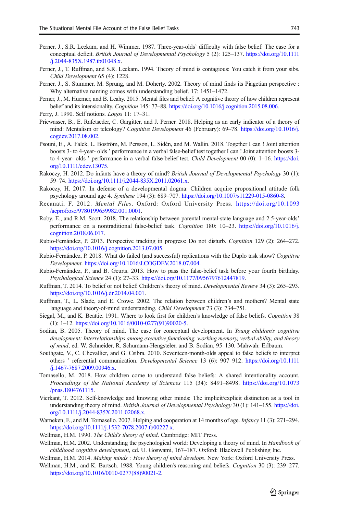- <span id="page-26-0"></span>Perner, J., S.R. Leekam, and H. Wimmer. 1987. Three-year-olds' difficulty with false belief: The case for a conceptual deficit. British Journal of Developmental Psychology 5 (2): 125–137. [https://doi.org/10.1111](https://doi.org/10.1111/j.2044-835X.1987.tb01048.x) [/j.2044-835X.1987.tb01048.x](https://doi.org/10.1111/j.2044-835X.1987.tb01048.x).
- Perner, J., T. Ruffman, and S.R. Leekam. 1994. Theory of mind is contagious: You catch it from your sibs. Child Development 65 (4): 1228.
- Perner, J., S. Stummer, M. Sprung, and M. Doherty. 2002. Theory of mind finds its Piagetian perspective : Why alternative naming comes with understanding belief. 17: 1451–1472.
- Perner, J., M. Huemer, and B. Leahy. 2015. Mental files and belief: A cognitive theory of how children represent belief and its intensionality. Cognition 145: 77–88. <https://doi.org/10.1016/j.cognition.2015.08.006>.
- Perry, J. 1990. Self notions. Logos 11: 17–31.
- Priewasser, B., E. Rafetseder, C. Gargitter, and J. Perner. 2018. Helping as an early indicator of a theory of mind: Mentalism or teleology? Cognitive Development 46 (February): 69–78. [https://doi.org/10.1016/j.](https://doi.org/10.1016/j.cogdev.2017.08.002) [cogdev.2017.08.002](https://doi.org/10.1016/j.cogdev.2017.08.002).
- Psouni, E., A. Falck, L. Boström, M. Persson, L. Sidén, and M. Wallin. 2018. Together I can ! Joint attention boosts 3- to 4-year- olds ' performance in a verbal false-belief test together I can ! Joint attention boosts 3 to 4-year- olds ' performance in a verbal false-belief test. Child Development 00 (0): 1-16. [https://doi.](https://doi.org/10.1111/cdev.13075) [org/10.1111/cdev.13075.](https://doi.org/10.1111/cdev.13075)
- Rakoczy, H. 2012. Do infants have a theory of mind? British Journal of Developmental Psychology 30 (1): 59–74. <https://doi.org/10.1111/j.2044-835X.2011.02061.x>.
- Rakoczy, H. 2017. In defense of a developmental dogma: Children acquire propositional attitude folk psychology around age 4. Synthese 194 (3): 689–707. <https://doi.org/10.1007/s11229-015-0860-8>.
- Recanati, F. 2012. Mental Files. Oxford: Oxford University Press. [https://doi.org/10.1093](https://doi.org/10.1093/acprof:oso/9780199659982.001.0001) [/acprof:oso/9780199659982.001.0001.](https://doi.org/10.1093/acprof:oso/9780199659982.001.0001)
- Roby, E., and R.M. Scott. 2018. The relationship between parental mental-state language and 2.5-year-olds' performance on a nontraditional false-belief task. Cognition 180: 10–23. [https://doi.org/10.1016/j.](https://doi.org/10.1016/j.cognition.2018.06.017) [cognition.2018.06.017](https://doi.org/10.1016/j.cognition.2018.06.017).
- Rubio-Fernández, P. 2013. Perspective tracking in progress: Do not disturb. Cognition 129 (2): 264–272. <https://doi.org/10.1016/j.cognition.2013.07.005>.
- Rubio-Fernández, P. 2018. What do failed (and successful) replications with the Duplo task show? Cognitive Development. <https://doi.org/10.1016/J.COGDEV.2018.07.004>.
- Rubio-Fernández, P., and B. Geurts. 2013. How to pass the false-belief task before your fourth birthday. Psychological Science 24 (1): 27–33. <https://doi.org/10.1177/0956797612447819>.
- Ruffman, T. 2014. To belief or not belief: Children's theory of mind. Developmental Review 34 (3): 265–293. <https://doi.org/10.1016/j.dr.2014.04.001>.
- Ruffman, T., L. Slade, and E. Crowe. 2002. The relation between children's and mothers? Mental state language and theory-of-mind understanding. Child Development 73 (3): 734–751.
- Siegal, M., and K. Beattie. 1991. Where to look first for children's knowledge of false beliefs. Cognition 38 (1): 1–12. [https://doi.org/10.1016/0010-0277\(91\)90020-5.](https://doi.org/10.1016/0010-0277(91)90020-5)
- Sodian, B. 2005. Theory of mind. The case for conceptual development. In Young children's cognitive development: Interrelationships among executive functioning, working memory, verbal ability, and theory of mind, ed. W. Schneider, R. Schumann-Hengsteler, and B. Sodian, 95–130. Mahwah: Erlbaum.
- Southgate, V., C. Chevallier, and G. Csibra. 2010. Seventeen-month-olds appeal to false beliefs to interpret others ' referential communication. Developmental Science 13 (6): 907–912. [https://doi.org/10.1111](https://doi.org/10.1111/j.1467-7687.2009.00946.x) [/j.1467-7687.2009.00946.x.](https://doi.org/10.1111/j.1467-7687.2009.00946.x)
- Tomasello, M. 2018. How children come to understand false beliefs: A shared intentionality account. Proceedings of the National Academy of Sciences 115 (34): 8491–8498. [https://doi.org/10.1073](https://doi.org/10.1073/pnas.1804761115) [/pnas.1804761115](https://doi.org/10.1073/pnas.1804761115).
- Vierkant, T. 2012. Self-knowledge and knowing other minds: The implicit/explicit distinction as a tool in understanding theory of mind. British Journal of Developmental Psychology 30 (1): 141–155. [https://doi.](https://doi.org/10.1111/j.2044-835X.2011.02068.x) [org/10.1111/j.2044-835X.2011.02068.x.](https://doi.org/10.1111/j.2044-835X.2011.02068.x)
- Warneken, F., and M. Tomasello. 2007. Helping and cooperation at 14 months of age. Infancy 11 (3): 271-294. [https://doi.org/10.1111/j.1532-7078.2007.tb00227.x.](https://doi.org/10.1111/j.1532-7078.2007.tb00227.x)
- Wellman, H.M. 1990. The Child's theory of mind. Cambridge: MIT Press.
- Wellman, H.M. 2002. Understanding the psychological world: Developing a theory of mind. In *Handbook of* childhood cognitive development, ed. U. Goswami, 167–187. Oxford: Blackwell Publishing Inc.
- Wellman, H.M. 2014. Making minds : How theory of mind develops. New York: Oxford University Press.
- Wellman, H.M., and K. Bartsch. 1988. Young children's reasoning and beliefs. Cognition 30 (3): 239–277. [https://doi.org/10.1016/0010-0277\(88\)90021-2.](https://doi.org/10.1016/0010-0277(88)90021-2)